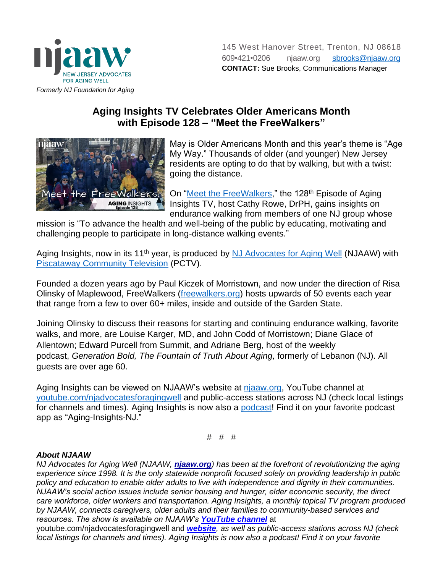

## **Aging Insights TV Celebrates Older Americans Month with Episode 128 – "Meet the FreeWalkers"**



May is Older Americans Month and this year's theme is "Age My Way." Thousands of older (and younger) New Jersey residents are opting to do that by walking, but with a twist: going the distance.

On ["Meet the FreeWalkers,](https://youtu.be/1NALWDNkiAg)" the 128<sup>th</sup> Episode of Aging Insights TV, host Cathy Rowe, DrPH, gains insights on endurance walking from members of one NJ group whose

mission is "To advance the health and well-being of the public by educating, motivating and challenging people to participate in long-distance walking events."

Aging Insights, now in its 11<sup>th</sup> year, is produced by [NJ Advocates for Aging Well](https://www.njaaw.org/) (NJAAW) with [Piscataway Community Television](https://www.piscatawaynj.org/departments/pctv/index.php) (PCTV).

Founded a dozen years ago by Paul Kiczek of Morristown, and now under the direction of Risa Olinsky of Maplewood, FreeWalkers [\(freewalkers.org\)](https://freewalkers.org/) hosts upwards of 50 events each year that range from a few to over 60+ miles, inside and outside of the Garden State.

Joining Olinsky to discuss their reasons for starting and continuing endurance walking, favorite walks, and more, are Louise Karger, MD, and John Codd of Morristown; Diane Glace of Allentown; Edward Purcell from Summit, and Adriane Berg, host of the weekly podcast, *Generation Bold, The Fountain of Truth About Aging,* formerly of Lebanon (NJ). All guests are over age 60.

Aging Insights can be viewed on NJAAW's website at [njaaw.org,](https://www.njaaw.org/) YouTube channel at [youtube.com/njadvocatesforagingwell](https://www.youtube.com/njadvocatesforagingwell) and public-access stations across NJ (check local listings for channels and times). Aging Insights is now also a [podcast!](https://www.njaaw.org/aging-insights/podcast/) Find it on your favorite podcast app as "Aging-Insights-NJ."

# # #

## *About NJAAW*

*NJ Advocates for Aging Well (NJAAW, [njaaw.org](http://njaaw.org/)) has been at the forefront of revolutionizing the aging experience since 1998. It is the only statewide nonprofit focused solely on providing leadership in public policy and education to enable older adults to live with independence and dignity in their communities. NJAAW's social action issues include senior housing and hunger, elder economic security, the direct care workforce, older workers and transportation. Aging Insights, a monthly topical TV program produced by NJAAW, connects caregivers, older adults and their families to community-based services and resources. The show is available on NJAAW's [YouTube channel](http://youtube.com/njadvocatesforagingwell)* at

youtube.com/njadvocatesforagingwell and *[website](https://www.njaaw.org/aging-insights/), as well as public-access stations across NJ (check local listings for channels and times). Aging Insights is now also a podcast! Find it on your favorite*